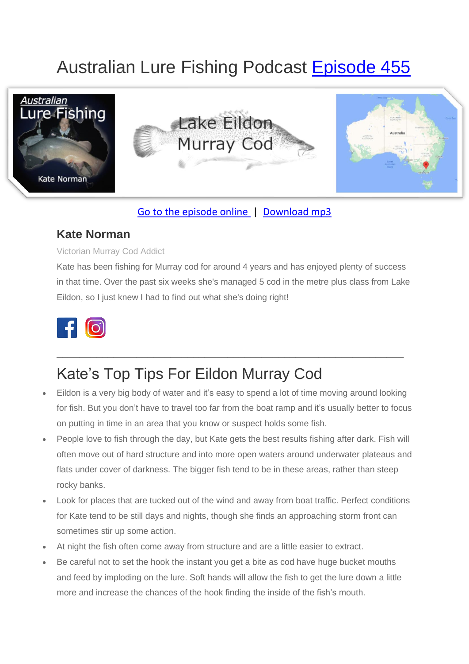# Australian Lure Fishing Podcast [Episode 455](https://doclures.com/eildon-murray-cod-kate-norman/)



### [Go to the episode online](https://doclures.com/eildon-murray-cod-kate-norman/) | [Download mp3](https://traffic.libsyn.com/secure/doclures/455-lake-eildon-murray-cod-kate-norman.mp3)

### **Kate Norman**

#### Victorian Murray Cod Addict

Kate has been fishing for Murray cod for around 4 years and has enjoyed plenty of success in that time. Over the past six weeks she's managed 5 cod in the metre plus class from Lake Eildon, so I just knew I had to find out what she's doing right!



## Kate's Top Tips For Eildon Murray Cod

• Eildon is a very big body of water and it's easy to spend a lot of time moving around looking for fish. But you don't have to travel too far from the boat ramp and it's usually better to focus on putting in time in an area that you know or suspect holds some fish.

\_\_\_\_\_\_\_\_\_\_\_\_\_\_\_\_\_\_\_\_\_\_\_\_\_\_\_\_\_\_\_\_\_\_\_\_\_\_\_\_\_\_\_\_\_\_\_\_\_\_\_\_\_\_\_\_\_\_\_\_\_

- People love to fish through the day, but Kate gets the best results fishing after dark. Fish will often move out of hard structure and into more open waters around underwater plateaus and flats under cover of darkness. The bigger fish tend to be in these areas, rather than steep rocky banks.
- Look for places that are tucked out of the wind and away from boat traffic. Perfect conditions for Kate tend to be still days and nights, though she finds an approaching storm front can sometimes stir up some action.
- At night the fish often come away from structure and are a little easier to extract.
- Be careful not to set the hook the instant you get a bite as cod have huge bucket mouths and feed by imploding on the lure. Soft hands will allow the fish to get the lure down a little more and increase the chances of the hook finding the inside of the fish's mouth.